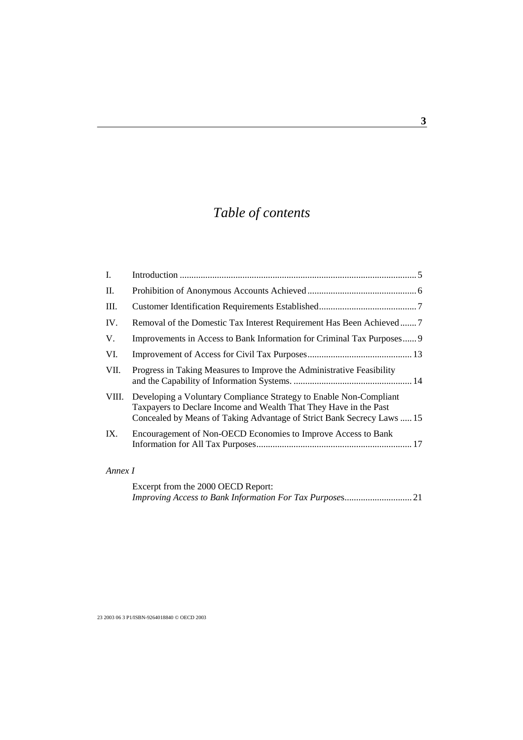# *Table of contents*

| Ι.      |                                                                                                                                                                                                                   |
|---------|-------------------------------------------------------------------------------------------------------------------------------------------------------------------------------------------------------------------|
| П.      |                                                                                                                                                                                                                   |
| Ш.      |                                                                                                                                                                                                                   |
| IV.     |                                                                                                                                                                                                                   |
| V.      | Improvements in Access to Bank Information for Criminal Tax Purposes 9                                                                                                                                            |
| VI.     |                                                                                                                                                                                                                   |
| VII.    | Progress in Taking Measures to Improve the Administrative Feasibility                                                                                                                                             |
| VIII.   | Developing a Voluntary Compliance Strategy to Enable Non-Compliant<br>Taxpayers to Declare Income and Wealth That They Have in the Past<br>Concealed by Means of Taking Advantage of Strict Bank Secrecy Laws  15 |
| IX.     | Encouragement of Non-OECD Economies to Improve Access to Bank                                                                                                                                                     |
| Annex I |                                                                                                                                                                                                                   |

*Improving Access to Bank Information For Tax Purpose*s............................. 21

Excerpt from the 2000 OECD Report: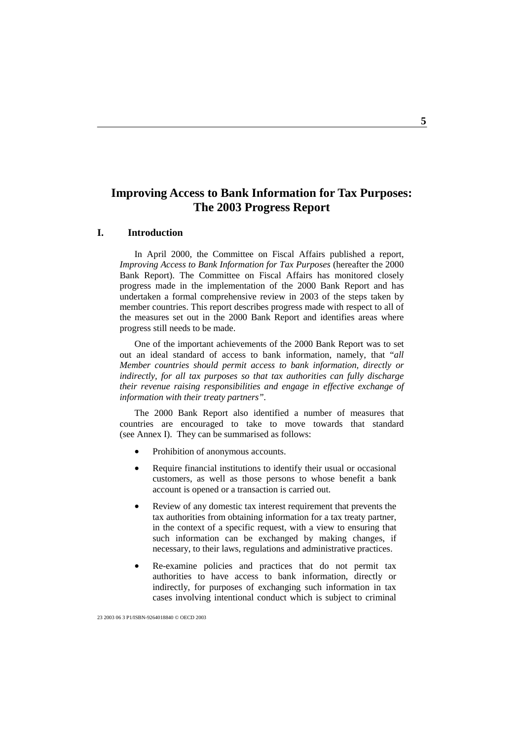# **Improving Access to Bank Information for Tax Purposes: The 2003 Progress Report**

#### **I. Introduction**

In April 2000, the Committee on Fiscal Affairs published a report*, Improving Access to Bank Information for Tax Purposes* (hereafter the 2000 Bank Report). The Committee on Fiscal Affairs has monitored closely progress made in the implementation of the 2000 Bank Report and has undertaken a formal comprehensive review in 2003 of the steps taken by member countries. This report describes progress made with respect to all of the measures set out in the 2000 Bank Report and identifies areas where progress still needs to be made.

One of the important achievements of the 2000 Bank Report was to set out an ideal standard of access to bank information, namely, that "*all Member countries should permit access to bank information, directly or indirectly, for all tax purposes so that tax authorities can fully discharge their revenue raising responsibilities and engage in effective exchange of information with their treaty partners".* 

The 2000 Bank Report also identified a number of measures that countries are encouraged to take to move towards that standard (see Annex I). They can be summarised as follows:

- Prohibition of anonymous accounts.
- Require financial institutions to identify their usual or occasional customers, as well as those persons to whose benefit a bank account is opened or a transaction is carried out.
- Review of any domestic tax interest requirement that prevents the tax authorities from obtaining information for a tax treaty partner, in the context of a specific request, with a view to ensuring that such information can be exchanged by making changes, if necessary, to their laws, regulations and administrative practices.
- Re-examine policies and practices that do not permit tax authorities to have access to bank information, directly or indirectly, for purposes of exchanging such information in tax cases involving intentional conduct which is subject to criminal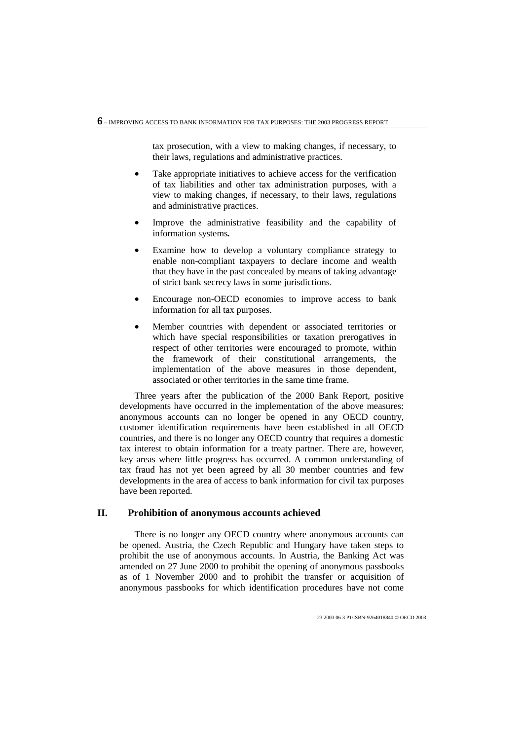tax prosecution, with a view to making changes, if necessary, to their laws, regulations and administrative practices.

- Take appropriate initiatives to achieve access for the verification of tax liabilities and other tax administration purposes, with a view to making changes, if necessary, to their laws, regulations and administrative practices.
- Improve the administrative feasibility and the capability of information systems*.*
- Examine how to develop a voluntary compliance strategy to enable non-compliant taxpayers to declare income and wealth that they have in the past concealed by means of taking advantage of strict bank secrecy laws in some jurisdictions.
- Encourage non-OECD economies to improve access to bank information for all tax purposes.
- Member countries with dependent or associated territories or which have special responsibilities or taxation prerogatives in respect of other territories were encouraged to promote, within the framework of their constitutional arrangements, the implementation of the above measures in those dependent, associated or other territories in the same time frame.

Three years after the publication of the 2000 Bank Report, positive developments have occurred in the implementation of the above measures: anonymous accounts can no longer be opened in any OECD country, customer identification requirements have been established in all OECD countries, and there is no longer any OECD country that requires a domestic tax interest to obtain information for a treaty partner. There are, however, key areas where little progress has occurred. A common understanding of tax fraud has not yet been agreed by all 30 member countries and few developments in the area of access to bank information for civil tax purposes have been reported.

#### **II. Prohibition of anonymous accounts achieved**

There is no longer any OECD country where anonymous accounts can be opened. Austria, the Czech Republic and Hungary have taken steps to prohibit the use of anonymous accounts. In Austria, the Banking Act was amended on 27 June 2000 to prohibit the opening of anonymous passbooks as of 1 November 2000 and to prohibit the transfer or acquisition of anonymous passbooks for which identification procedures have not come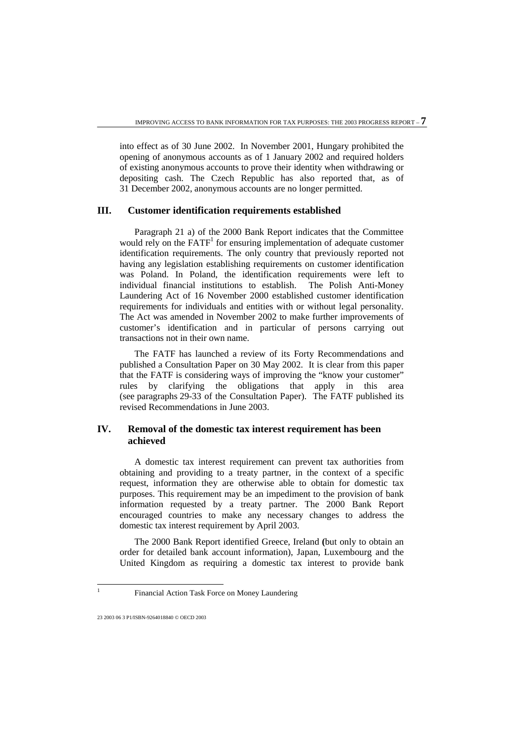into effect as of 30 June 2002. In November 2001, Hungary prohibited the opening of anonymous accounts as of 1 January 2002 and required holders of existing anonymous accounts to prove their identity when withdrawing or depositing cash. The Czech Republic has also reported that, as of 31 December 2002, anonymous accounts are no longer permitted.

#### **III. Customer identification requirements established**

Paragraph 21 a) of the 2000 Bank Report indicates that the Committee would rely on the FATF<sup>1</sup> for ensuring implementation of adequate customer identification requirements. The only country that previously reported not having any legislation establishing requirements on customer identification was Poland. In Poland, the identification requirements were left to individual financial institutions to establish. The Polish Anti-Money Laundering Act of 16 November 2000 established customer identification requirements for individuals and entities with or without legal personality. The Act was amended in November 2002 to make further improvements of customer's identification and in particular of persons carrying out transactions not in their own name.

The FATF has launched a review of its Forty Recommendations and published a Consultation Paper on 30 May 2002. It is clear from this paper that the FATF is considering ways of improving the "know your customer" rules by clarifying the obligations that apply in this area (see paragraphs 29-33 of the Consultation Paper). The FATF published its revised Recommendations in June 2003.

## **IV. Removal of the domestic tax interest requirement has been achieved**

A domestic tax interest requirement can prevent tax authorities from obtaining and providing to a treaty partner, in the context of a specific request, information they are otherwise able to obtain for domestic tax purposes. This requirement may be an impediment to the provision of bank information requested by a treaty partner. The 2000 Bank Report encouraged countries to make any necessary changes to address the domestic tax interest requirement by April 2003.

The 2000 Bank Report identified Greece, Ireland **(**but only to obtain an order for detailed bank account information), Japan, Luxembourg and the United Kingdom as requiring a domestic tax interest to provide bank

<sup>|&</sup>lt;br>|<br>|

Financial Action Task Force on Money Laundering

<sup>23 2003 06 3</sup> P1/ISBN-9264018840 © OECD 2003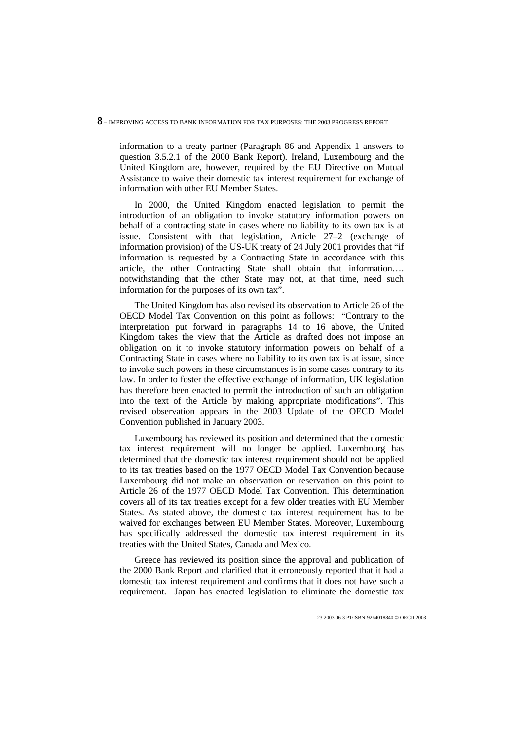information to a treaty partner (Paragraph 86 and Appendix 1 answers to question 3.5.2.1 of the 2000 Bank Report). Ireland, Luxembourg and the United Kingdom are, however, required by the EU Directive on Mutual Assistance to waive their domestic tax interest requirement for exchange of information with other EU Member States.

In 2000, the United Kingdom enacted legislation to permit the introduction of an obligation to invoke statutory information powers on behalf of a contracting state in cases where no liability to its own tax is at issue. Consistent with that legislation, Article 27–2 (exchange of information provision) of the US-UK treaty of 24 July 2001 provides that "if information is requested by a Contracting State in accordance with this article, the other Contracting State shall obtain that information…. notwithstanding that the other State may not, at that time, need such information for the purposes of its own tax".

The United Kingdom has also revised its observation to Article 26 of the OECD Model Tax Convention on this point as follows: "Contrary to the interpretation put forward in paragraphs 14 to 16 above, the United Kingdom takes the view that the Article as drafted does not impose an obligation on it to invoke statutory information powers on behalf of a Contracting State in cases where no liability to its own tax is at issue, since to invoke such powers in these circumstances is in some cases contrary to its law. In order to foster the effective exchange of information, UK legislation has therefore been enacted to permit the introduction of such an obligation into the text of the Article by making appropriate modifications". This revised observation appears in the 2003 Update of the OECD Model Convention published in January 2003.

Luxembourg has reviewed its position and determined that the domestic tax interest requirement will no longer be applied. Luxembourg has determined that the domestic tax interest requirement should not be applied to its tax treaties based on the 1977 OECD Model Tax Convention because Luxembourg did not make an observation or reservation on this point to Article 26 of the 1977 OECD Model Tax Convention. This determination covers all of its tax treaties except for a few older treaties with EU Member States. As stated above, the domestic tax interest requirement has to be waived for exchanges between EU Member States. Moreover, Luxembourg has specifically addressed the domestic tax interest requirement in its treaties with the United States, Canada and Mexico.

Greece has reviewed its position since the approval and publication of the 2000 Bank Report and clarified that it erroneously reported that it had a domestic tax interest requirement and confirms that it does not have such a requirement. Japan has enacted legislation to eliminate the domestic tax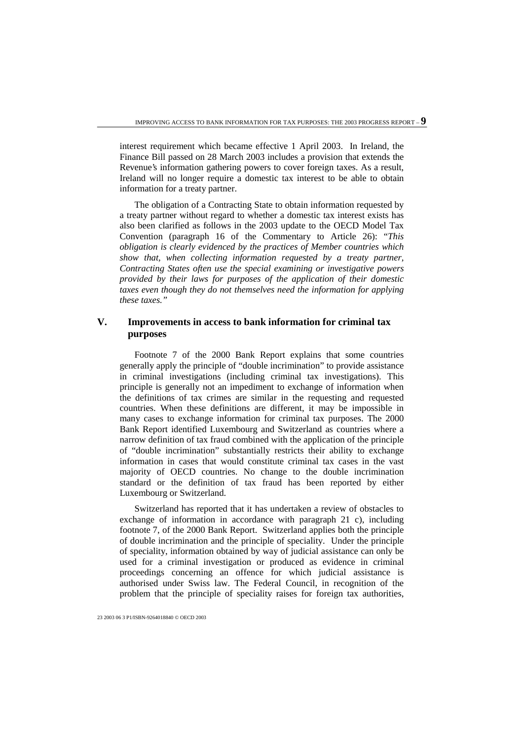interest requirement which became effective 1 April 2003. In Ireland, the Finance Bill passed on 28 March 2003 includes a provision that extends the Revenue's information gathering powers to cover foreign taxes. As a result, Ireland will no longer require a domestic tax interest to be able to obtain information for a treaty partner.

The obligation of a Contracting State to obtain information requested by a treaty partner without regard to whether a domestic tax interest exists has also been clarified as follows in the 2003 update to the OECD Model Tax Convention (paragraph 16 of the Commentary to Article 26): "*This obligation is clearly evidenced by the practices of Member countries which show that, when collecting information requested by a treaty partner, Contracting States often use the special examining or investigative powers provided by their laws for purposes of the application of their domestic taxes even though they do not themselves need the information for applying these taxes."*

## **V. Improvements in access to bank information for criminal tax purposes**

Footnote 7 of the 2000 Bank Report explains that some countries generally apply the principle of "double incrimination" to provide assistance in criminal investigations (including criminal tax investigations). This principle is generally not an impediment to exchange of information when the definitions of tax crimes are similar in the requesting and requested countries. When these definitions are different, it may be impossible in many cases to exchange information for criminal tax purposes. The 2000 Bank Report identified Luxembourg and Switzerland as countries where a narrow definition of tax fraud combined with the application of the principle of "double incrimination" substantially restricts their ability to exchange information in cases that would constitute criminal tax cases in the vast majority of OECD countries. No change to the double incrimination standard or the definition of tax fraud has been reported by either Luxembourg or Switzerland.

Switzerland has reported that it has undertaken a review of obstacles to exchange of information in accordance with paragraph 21 c), including footnote 7, of the 2000 Bank Report. Switzerland applies both the principle of double incrimination and the principle of speciality. Under the principle of speciality, information obtained by way of judicial assistance can only be used for a criminal investigation or produced as evidence in criminal proceedings concerning an offence for which judicial assistance is authorised under Swiss law. The Federal Council, in recognition of the problem that the principle of speciality raises for foreign tax authorities,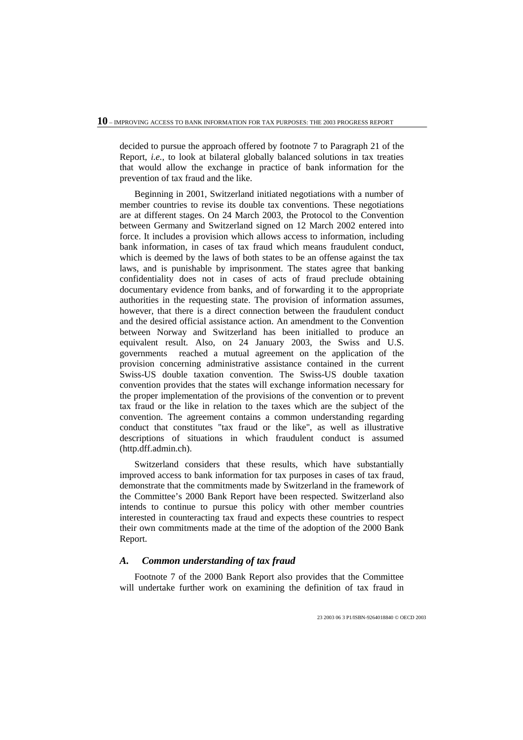decided to pursue the approach offered by footnote 7 to Paragraph 21 of the Report, *i.e.,* to look at bilateral globally balanced solutions in tax treaties that would allow the exchange in practice of bank information for the prevention of tax fraud and the like.

Beginning in 2001, Switzerland initiated negotiations with a number of member countries to revise its double tax conventions. These negotiations are at different stages. On 24 March 2003, the Protocol to the Convention between Germany and Switzerland signed on 12 March 2002 entered into force. It includes a provision which allows access to information, including bank information, in cases of tax fraud which means fraudulent conduct, which is deemed by the laws of both states to be an offense against the tax laws, and is punishable by imprisonment. The states agree that banking confidentiality does not in cases of acts of fraud preclude obtaining documentary evidence from banks, and of forwarding it to the appropriate authorities in the requesting state. The provision of information assumes, however, that there is a direct connection between the fraudulent conduct and the desired official assistance action. An amendment to the Convention between Norway and Switzerland has been initialled to produce an equivalent result. Also, on 24 January 2003, the Swiss and U.S. governments reached a mutual agreement on the application of the provision concerning administrative assistance contained in the current Swiss-US double taxation convention. The Swiss-US double taxation convention provides that the states will exchange information necessary for the proper implementation of the provisions of the convention or to prevent tax fraud or the like in relation to the taxes which are the subject of the convention. The agreement contains a common understanding regarding conduct that constitutes "tax fraud or the like", as well as illustrative descriptions of situations in which fraudulent conduct is assumed (http.dff.admin.ch).

Switzerland considers that these results, which have substantially improved access to bank information for tax purposes in cases of tax fraud, demonstrate that the commitments made by Switzerland in the framework of the Committee's 2000 Bank Report have been respected. Switzerland also intends to continue to pursue this policy with other member countries interested in counteracting tax fraud and expects these countries to respect their own commitments made at the time of the adoption of the 2000 Bank Report.

#### *A. Common understanding of tax fraud*

Footnote 7 of the 2000 Bank Report also provides that the Committee will undertake further work on examining the definition of tax fraud in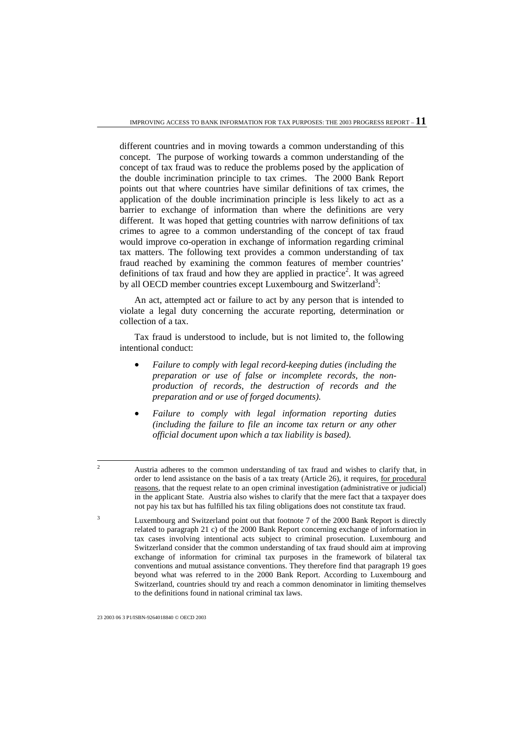different countries and in moving towards a common understanding of this concept. The purpose of working towards a common understanding of the concept of tax fraud was to reduce the problems posed by the application of the double incrimination principle to tax crimes. The 2000 Bank Report points out that where countries have similar definitions of tax crimes, the application of the double incrimination principle is less likely to act as a barrier to exchange of information than where the definitions are very different. It was hoped that getting countries with narrow definitions of tax crimes to agree to a common understanding of the concept of tax fraud would improve co-operation in exchange of information regarding criminal tax matters. The following text provides a common understanding of tax fraud reached by examining the common features of member countries' definitions of tax fraud and how they are applied in practice<sup>2</sup>. It was agreed by all OECD member countries except Luxembourg and Switzerland<sup>3</sup>:

An act, attempted act or failure to act by any person that is intended to violate a legal duty concerning the accurate reporting, determination or collection of a tax.

Tax fraud is understood to include, but is not limited to, the following intentional conduct:

- *Failure to comply with legal record-keeping duties (including the preparation or use of false or incomplete records, the nonproduction of records, the destruction of records and the preparation and or use of forged documents).*
- *Failure to comply with legal information reporting duties (including the failure to file an income tax return or any other official document upon which a tax liability is based).*

23 2003 06 3 P1/ISBN-9264018840 © OECD 2003

 $\frac{1}{2}$ 

3

Austria adheres to the common understanding of tax fraud and wishes to clarify that, in order to lend assistance on the basis of a tax treaty (Article 26), it requires, for procedural reasons, that the request relate to an open criminal investigation (administrative or judicial) in the applicant State. Austria also wishes to clarify that the mere fact that a taxpayer does not pay his tax but has fulfilled his tax filing obligations does not constitute tax fraud.

Luxembourg and Switzerland point out that footnote 7 of the 2000 Bank Report is directly related to paragraph 21 c) of the 2000 Bank Report concerning exchange of information in tax cases involving intentional acts subject to criminal prosecution. Luxembourg and Switzerland consider that the common understanding of tax fraud should aim at improving exchange of information for criminal tax purposes in the framework of bilateral tax conventions and mutual assistance conventions. They therefore find that paragraph 19 goes beyond what was referred to in the 2000 Bank Report. According to Luxembourg and Switzerland, countries should try and reach a common denominator in limiting themselves to the definitions found in national criminal tax laws.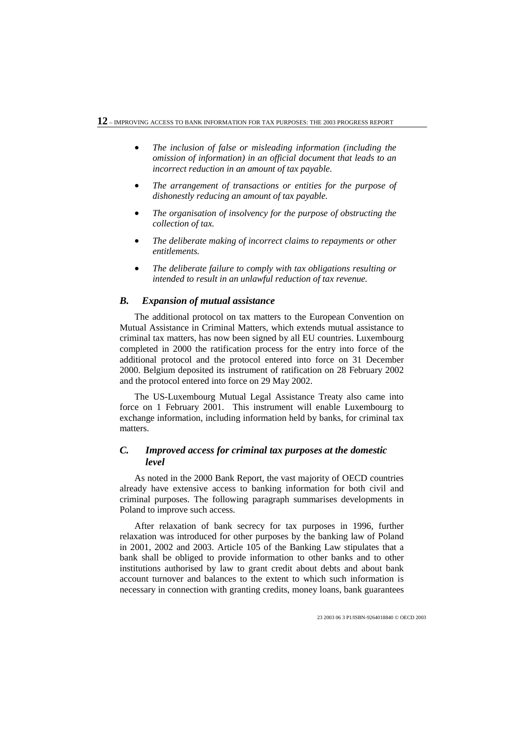- *The inclusion of false or misleading information (including the omission of information) in an official document that leads to an incorrect reduction in an amount of tax payable.*
- *The arrangement of transactions or entities for the purpose of dishonestly reducing an amount of tax payable.*
- *The organisation of insolvency for the purpose of obstructing the collection of tax.*
- *The deliberate making of incorrect claims to repayments or other entitlements.*
- *The deliberate failure to comply with tax obligations resulting or intended to result in an unlawful reduction of tax revenue.*

#### *B. Expansion of mutual assistance*

The additional protocol on tax matters to the European Convention on Mutual Assistance in Criminal Matters, which extends mutual assistance to criminal tax matters, has now been signed by all EU countries. Luxembourg completed in 2000 the ratification process for the entry into force of the additional protocol and the protocol entered into force on 31 December 2000. Belgium deposited its instrument of ratification on 28 February 2002 and the protocol entered into force on 29 May 2002.

The US-Luxembourg Mutual Legal Assistance Treaty also came into force on 1 February 2001. This instrument will enable Luxembourg to exchange information, including information held by banks, for criminal tax matters.

## *C. Improved access for criminal tax purposes at the domestic level*

As noted in the 2000 Bank Report, the vast majority of OECD countries already have extensive access to banking information for both civil and criminal purposes. The following paragraph summarises developments in Poland to improve such access.

After relaxation of bank secrecy for tax purposes in 1996, further relaxation was introduced for other purposes by the banking law of Poland in 2001, 2002 and 2003. Article 105 of the Banking Law stipulates that a bank shall be obliged to provide information to other banks and to other institutions authorised by law to grant credit about debts and about bank account turnover and balances to the extent to which such information is necessary in connection with granting credits, money loans, bank guarantees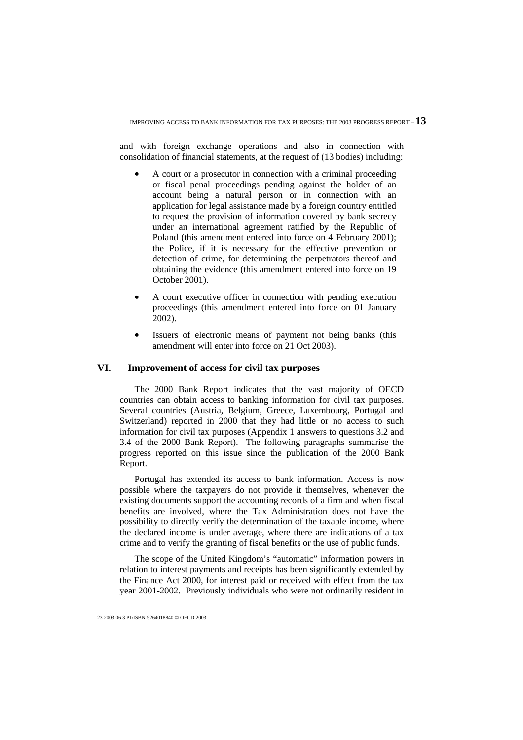and with foreign exchange operations and also in connection with consolidation of financial statements, at the request of (13 bodies) including:

- A court or a prosecutor in connection with a criminal proceeding or fiscal penal proceedings pending against the holder of an account being a natural person or in connection with an application for legal assistance made by a foreign country entitled to request the provision of information covered by bank secrecy under an international agreement ratified by the Republic of Poland (this amendment entered into force on 4 February 2001); the Police, if it is necessary for the effective prevention or detection of crime, for determining the perpetrators thereof and obtaining the evidence (this amendment entered into force on 19 October 2001).
- A court executive officer in connection with pending execution proceedings (this amendment entered into force on 01 January 2002).
- Issuers of electronic means of payment not being banks (this amendment will enter into force on 21 Oct 2003).

#### **VI. Improvement of access for civil tax purposes**

The 2000 Bank Report indicates that the vast majority of OECD countries can obtain access to banking information for civil tax purposes. Several countries (Austria, Belgium, Greece, Luxembourg, Portugal and Switzerland) reported in 2000 that they had little or no access to such information for civil tax purposes (Appendix 1 answers to questions 3.2 and 3.4 of the 2000 Bank Report). The following paragraphs summarise the progress reported on this issue since the publication of the 2000 Bank Report.

Portugal has extended its access to bank information. Access is now possible where the taxpayers do not provide it themselves, whenever the existing documents support the accounting records of a firm and when fiscal benefits are involved, where the Tax Administration does not have the possibility to directly verify the determination of the taxable income, where the declared income is under average, where there are indications of a tax crime and to verify the granting of fiscal benefits or the use of public funds.

The scope of the United Kingdom's "automatic" information powers in relation to interest payments and receipts has been significantly extended by the Finance Act 2000, for interest paid or received with effect from the tax year 2001-2002. Previously individuals who were not ordinarily resident in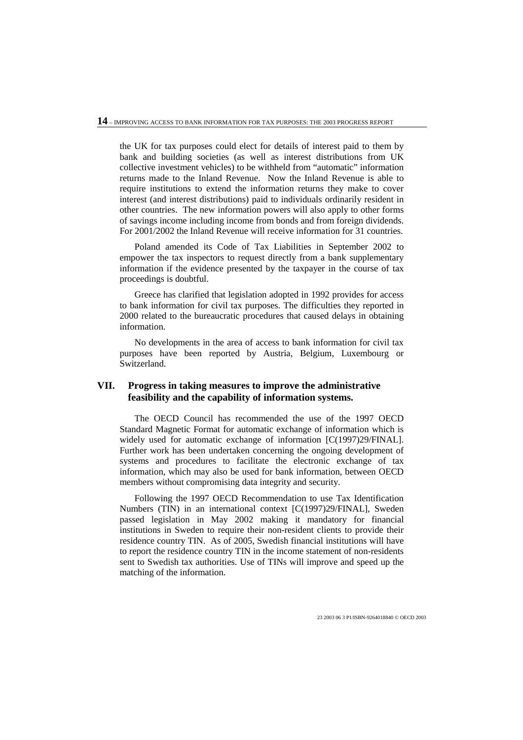the UK for tax purposes could elect for details of interest paid to them by bank and building societies (as well as interest distributions from UK collective investment vehicles) to be withheld from "automatic" information returns made to the Inland Revenue. Now the Inland Revenue is able to require institutions to extend the information returns they make to cover interest (and interest distributions) paid to individuals ordinarily resident in other countries. The new information powers will also apply to other forms of savings income including income from bonds and from foreign dividends. For 2001/2002 the Inland Revenue will receive information for 31 countries.

Poland amended its Code of Tax Liabilities in September 2002 to empower the tax inspectors to request directly from a bank supplementary information if the evidence presented by the taxpayer in the course of tax proceedings is doubtful.

Greece has clarified that legislation adopted in 1992 provides for access to bank information for civil tax purposes. The difficulties they reported in 2000 related to the bureaucratic procedures that caused delays in obtaining information.

No developments in the area of access to bank information for civil tax purposes have been reported by Austria, Belgium, Luxembourg or Switzerland.

#### **VII. Progress in taking measures to improve the administrative feasibility and the capability of information systems.**

The OECD Council has recommended the use of the 1997 OECD Standard Magnetic Format for automatic exchange of information which is widely used for automatic exchange of information [C(1997)29/FINAL]. Further work has been undertaken concerning the ongoing development of systems and procedures to facilitate the electronic exchange of tax information, which may also be used for bank information, between OECD members without compromising data integrity and security.

Following the 1997 OECD Recommendation to use Tax Identification Numbers (TIN) in an international context [C(1997)29/FINAL], Sweden passed legislation in May 2002 making it mandatory for financial institutions in Sweden to require their non-resident clients to provide their residence country TIN. As of 2005, Swedish financial institutions will have to report the residence country TIN in the income statement of non-residents sent to Swedish tax authorities. Use of TINs will improve and speed up the matching of the information.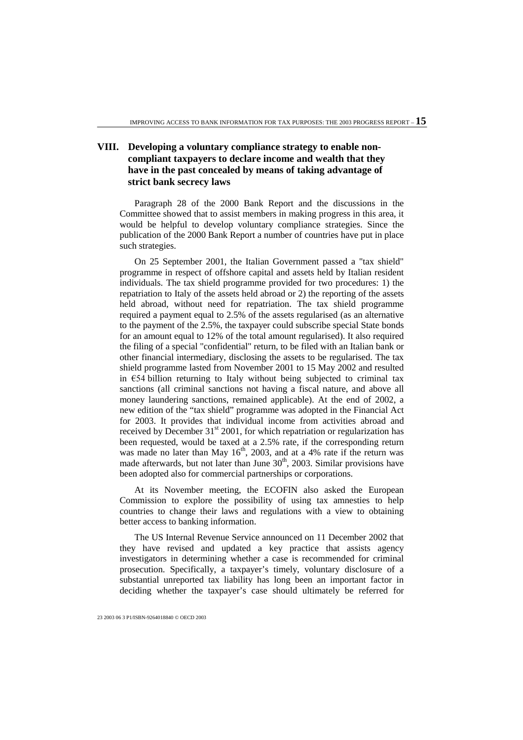## **VIII. Developing a voluntary compliance strategy to enable noncompliant taxpayers to declare income and wealth that they have in the past concealed by means of taking advantage of strict bank secrecy laws**

Paragraph 28 of the 2000 Bank Report and the discussions in the Committee showed that to assist members in making progress in this area, it would be helpful to develop voluntary compliance strategies. Since the publication of the 2000 Bank Report a number of countries have put in place such strategies.

On 25 September 2001, the Italian Government passed a "tax shield" programme in respect of offshore capital and assets held by Italian resident individuals. The tax shield programme provided for two procedures: 1) the repatriation to Italy of the assets held abroad or 2) the reporting of the assets held abroad, without need for repatriation. The tax shield programme required a payment equal to 2.5% of the assets regularised (as an alternative to the payment of the 2.5%, the taxpayer could subscribe special State bonds for an amount equal to 12% of the total amount regularised). It also required the filing of a special "confidential" return, to be filed with an Italian bank or other financial intermediary, disclosing the assets to be regularised. The tax shield programme lasted from November 2001 to 15 May 2002 and resulted in  $\epsilon$ 54 billion returning to Italy without being subjected to criminal tax sanctions (all criminal sanctions not having a fiscal nature, and above all money laundering sanctions, remained applicable). At the end of 2002, a new edition of the "tax shield" programme was adopted in the Financial Act for 2003. It provides that individual income from activities abroad and received by December  $31<sup>st</sup>$  2001, for which repatriation or regularization has been requested, would be taxed at a 2.5% rate, if the corresponding return was made no later than May  $16<sup>th</sup>$ , 2003, and at a 4% rate if the return was made afterwards, but not later than June  $30<sup>th</sup>$ , 2003. Similar provisions have been adopted also for commercial partnerships or corporations.

At its November meeting, the ECOFIN also asked the European Commission to explore the possibility of using tax amnesties to help countries to change their laws and regulations with a view to obtaining better access to banking information.

The US Internal Revenue Service announced on 11 December 2002 that they have revised and updated a key practice that assists agency investigators in determining whether a case is recommended for criminal prosecution. Specifically, a taxpayer's timely, voluntary disclosure of a substantial unreported tax liability has long been an important factor in deciding whether the taxpayer's case should ultimately be referred for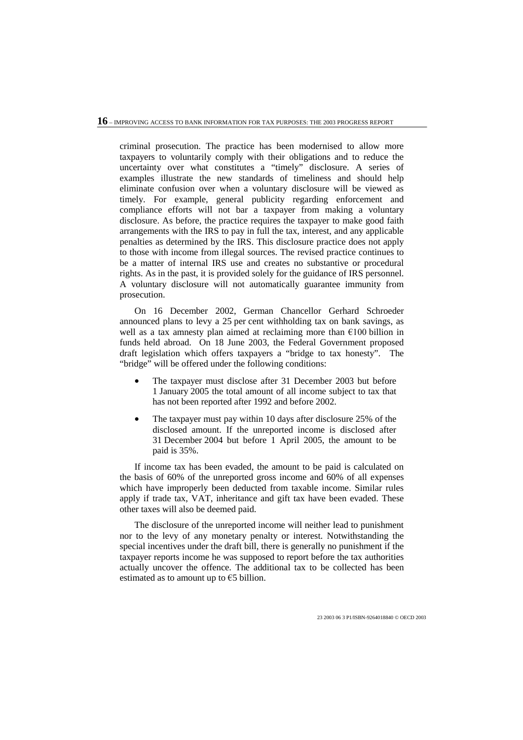criminal prosecution. The practice has been modernised to allow more taxpayers to voluntarily comply with their obligations and to reduce the uncertainty over what constitutes a "timely" disclosure. A series of examples illustrate the new standards of timeliness and should help eliminate confusion over when a voluntary disclosure will be viewed as timely. For example, general publicity regarding enforcement and compliance efforts will not bar a taxpayer from making a voluntary disclosure. As before, the practice requires the taxpayer to make good faith arrangements with the IRS to pay in full the tax, interest, and any applicable penalties as determined by the IRS. This disclosure practice does not apply to those with income from illegal sources. The revised practice continues to be a matter of internal IRS use and creates no substantive or procedural rights. As in the past, it is provided solely for the guidance of IRS personnel. A voluntary disclosure will not automatically guarantee immunity from prosecution.

On 16 December 2002, German Chancellor Gerhard Schroeder announced plans to levy a 25 per cent withholding tax on bank savings, as well as a tax amnesty plan aimed at reclaiming more than  $\epsilon$ 100 billion in funds held abroad. On 18 June 2003, the Federal Government proposed draft legislation which offers taxpayers a "bridge to tax honesty". The "bridge" will be offered under the following conditions:

- The taxpayer must disclose after 31 December 2003 but before 1 January 2005 the total amount of all income subject to tax that has not been reported after 1992 and before 2002.
- The taxpayer must pay within 10 days after disclosure 25% of the disclosed amount. If the unreported income is disclosed after 31 December 2004 but before 1 April 2005, the amount to be paid is 35%.

If income tax has been evaded, the amount to be paid is calculated on the basis of 60% of the unreported gross income and 60% of all expenses which have improperly been deducted from taxable income. Similar rules apply if trade tax, VAT, inheritance and gift tax have been evaded. These other taxes will also be deemed paid.

The disclosure of the unreported income will neither lead to punishment nor to the levy of any monetary penalty or interest. Notwithstanding the special incentives under the draft bill, there is generally no punishment if the taxpayer reports income he was supposed to report before the tax authorities actually uncover the offence. The additional tax to be collected has been estimated as to amount up to  $\epsilon$ 5 billion.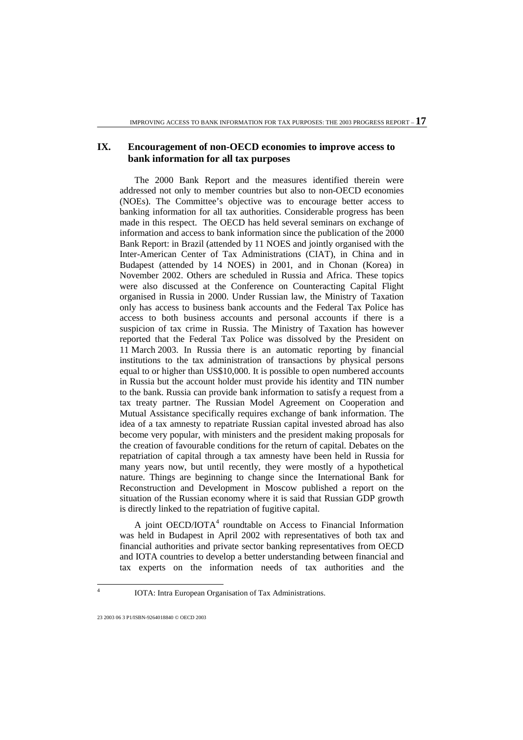## **IX. Encouragement of non-OECD economies to improve access to bank information for all tax purposes**

The 2000 Bank Report and the measures identified therein were addressed not only to member countries but also to non-OECD economies (NOEs). The Committee's objective was to encourage better access to banking information for all tax authorities. Considerable progress has been made in this respect. The OECD has held several seminars on exchange of information and access to bank information since the publication of the 2000 Bank Report: in Brazil (attended by 11 NOES and jointly organised with the Inter-American Center of Tax Administrations (CIAT), in China and in Budapest (attended by 14 NOES) in 2001, and in Chonan (Korea) in November 2002. Others are scheduled in Russia and Africa. These topics were also discussed at the Conference on Counteracting Capital Flight organised in Russia in 2000. Under Russian law, the Ministry of Taxation only has access to business bank accounts and the Federal Tax Police has access to both business accounts and personal accounts if there is a suspicion of tax crime in Russia. The Ministry of Taxation has however reported that the Federal Tax Police was dissolved by the President on 11 March 2003. In Russia there is an automatic reporting by financial institutions to the tax administration of transactions by physical persons equal to or higher than US\$10,000. It is possible to open numbered accounts in Russia but the account holder must provide his identity and TIN number to the bank. Russia can provide bank information to satisfy a request from a tax treaty partner. The Russian Model Agreement on Cooperation and Mutual Assistance specifically requires exchange of bank information. The idea of a tax amnesty to repatriate Russian capital invested abroad has also become very popular, with ministers and the president making proposals for the creation of favourable conditions for the return of capital. Debates on the repatriation of capital through a tax amnesty have been held in Russia for many years now, but until recently, they were mostly of a hypothetical nature. Things are beginning to change since the International Bank for Reconstruction and Development in Moscow published a report on the situation of the Russian economy where it is said that Russian GDP growth is directly linked to the repatriation of fugitive capital.

A joint OECD/IOTA<sup>4</sup> roundtable on Access to Financial Information was held in Budapest in April 2002 with representatives of both tax and financial authorities and private sector banking representatives from OECD and IOTA countries to develop a better understanding between financial and tax experts on the information needs of tax authorities and the

|<br>4

IOTA: Intra European Organisation of Tax Administrations.

<sup>23 2003 06 3</sup> P1/ISBN-9264018840 © OECD 2003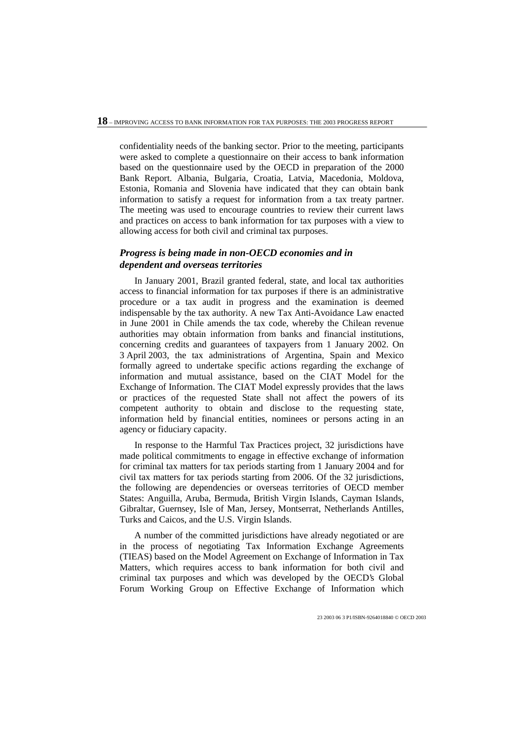confidentiality needs of the banking sector. Prior to the meeting, participants were asked to complete a questionnaire on their access to bank information based on the questionnaire used by the OECD in preparation of the 2000 Bank Report. Albania, Bulgaria, Croatia, Latvia, Macedonia, Moldova, Estonia, Romania and Slovenia have indicated that they can obtain bank information to satisfy a request for information from a tax treaty partner. The meeting was used to encourage countries to review their current laws and practices on access to bank information for tax purposes with a view to allowing access for both civil and criminal tax purposes.

#### *Progress is being made in non-OECD economies and in dependent and overseas territories*

In January 2001, Brazil granted federal, state, and local tax authorities access to financial information for tax purposes if there is an administrative procedure or a tax audit in progress and the examination is deemed indispensable by the tax authority. A new Tax Anti-Avoidance Law enacted in June 2001 in Chile amends the tax code, whereby the Chilean revenue authorities may obtain information from banks and financial institutions, concerning credits and guarantees of taxpayers from 1 January 2002. On 3 April 2003, the tax administrations of Argentina, Spain and Mexico formally agreed to undertake specific actions regarding the exchange of information and mutual assistance, based on the CIAT Model for the Exchange of Information. The CIAT Model expressly provides that the laws or practices of the requested State shall not affect the powers of its competent authority to obtain and disclose to the requesting state, information held by financial entities, nominees or persons acting in an agency or fiduciary capacity.

In response to the Harmful Tax Practices project, 32 jurisdictions have made political commitments to engage in effective exchange of information for criminal tax matters for tax periods starting from 1 January 2004 and for civil tax matters for tax periods starting from 2006. Of the 32 jurisdictions, the following are dependencies or overseas territories of OECD member States: Anguilla, Aruba, Bermuda, British Virgin Islands, Cayman Islands, Gibraltar, Guernsey, Isle of Man, Jersey, Montserrat, Netherlands Antilles, Turks and Caicos, and the U.S. Virgin Islands.

A number of the committed jurisdictions have already negotiated or are in the process of negotiating Tax Information Exchange Agreements (TIEAS) based on the Model Agreement on Exchange of Information in Tax Matters, which requires access to bank information for both civil and criminal tax purposes and which was developed by the OECD's Global Forum Working Group on Effective Exchange of Information which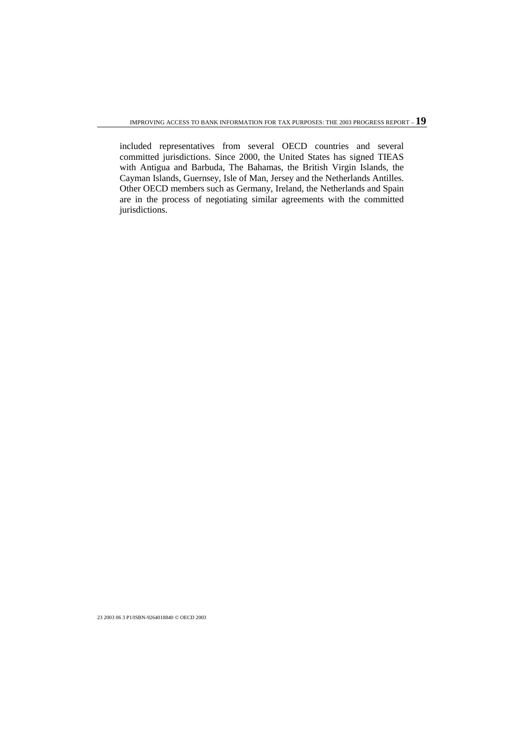included representatives from several OECD countries and several committed jurisdictions. Since 2000, the United States has signed TIEAS with Antigua and Barbuda, The Bahamas, the British Virgin Islands, the Cayman Islands, Guernsey, Isle of Man, Jersey and the Netherlands Antilles. Other OECD members such as Germany, Ireland, the Netherlands and Spain are in the process of negotiating similar agreements with the committed jurisdictions.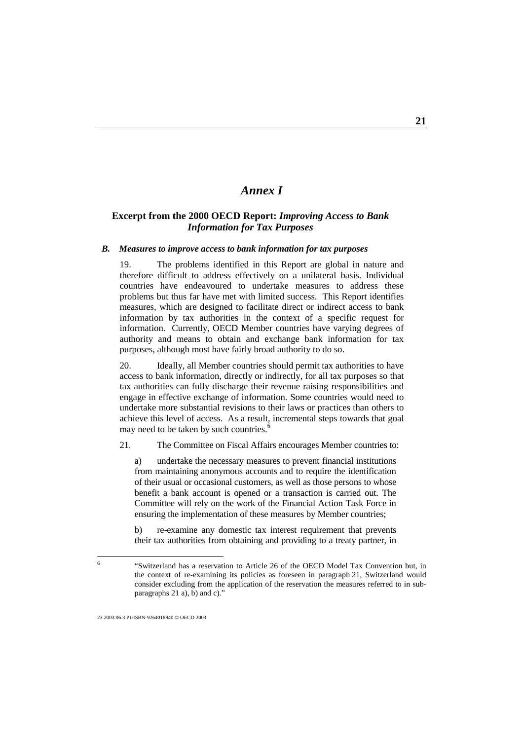## *Annex I*

## **Excerpt from the 2000 OECD Report:** *Improving Access to Bank Information for Tax Purposes*

#### *B. Measures to improve access to bank information for tax purposes*

19. The problems identified in this Report are global in nature and therefore difficult to address effectively on a unilateral basis. Individual countries have endeavoured to undertake measures to address these problems but thus far have met with limited success. This Report identifies measures, which are designed to facilitate direct or indirect access to bank information by tax authorities in the context of a specific request for information. Currently, OECD Member countries have varying degrees of authority and means to obtain and exchange bank information for tax purposes, although most have fairly broad authority to do so.

20. Ideally, all Member countries should permit tax authorities to have access to bank information, directly or indirectly, for all tax purposes so that tax authorities can fully discharge their revenue raising responsibilities and engage in effective exchange of information. Some countries would need to undertake more substantial revisions to their laws or practices than others to achieve this level of access. As a result, incremental steps towards that goal may need to be taken by such countries.<sup>6</sup>

21. The Committee on Fiscal Affairs encourages Member countries to:

a) undertake the necessary measures to prevent financial institutions from maintaining anonymous accounts and to require the identification of their usual or occasional customers, as well as those persons to whose benefit a bank account is opened or a transaction is carried out. The Committee will rely on the work of the Financial Action Task Force in ensuring the implementation of these measures by Member countries;

b) re-examine any domestic tax interest requirement that prevents their tax authorities from obtaining and providing to a treaty partner, in

6

 <sup>&</sup>quot;Switzerland has a reservation to Article 26 of the OECD Model Tax Convention but, in the context of re-examining its policies as foreseen in paragraph 21, Switzerland would consider excluding from the application of the reservation the measures referred to in subparagraphs 21 a), b) and c)."

<sup>23 2003 06 3</sup> P1/ISBN-9264018840 © OECD 2003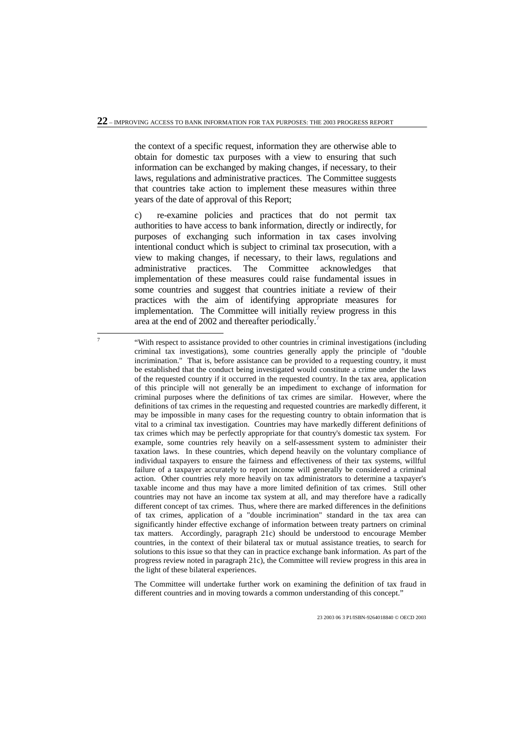the context of a specific request, information they are otherwise able to obtain for domestic tax purposes with a view to ensuring that such information can be exchanged by making changes, if necessary, to their laws, regulations and administrative practices. The Committee suggests that countries take action to implement these measures within three years of the date of approval of this Report;

c) re-examine policies and practices that do not permit tax authorities to have access to bank information, directly or indirectly, for purposes of exchanging such information in tax cases involving intentional conduct which is subject to criminal tax prosecution, with a view to making changes, if necessary, to their laws, regulations and administrative practices. The Committee acknowledges that implementation of these measures could raise fundamental issues in some countries and suggest that countries initiate a review of their practices with the aim of identifying appropriate measures for implementation. The Committee will initially review progress in this area at the end of 2002 and thereafter periodically.<sup>7</sup>

 7

 "With respect to assistance provided to other countries in criminal investigations (including criminal tax investigations), some countries generally apply the principle of "double incrimination." That is, before assistance can be provided to a requesting country, it must be established that the conduct being investigated would constitute a crime under the laws of the requested country if it occurred in the requested country. In the tax area, application of this principle will not generally be an impediment to exchange of information for criminal purposes where the definitions of tax crimes are similar. However, where the definitions of tax crimes in the requesting and requested countries are markedly different, it may be impossible in many cases for the requesting country to obtain information that is vital to a criminal tax investigation. Countries may have markedly different definitions of tax crimes which may be perfectly appropriate for that country's domestic tax system. For example, some countries rely heavily on a self-assessment system to administer their taxation laws. In these countries, which depend heavily on the voluntary compliance of individual taxpayers to ensure the fairness and effectiveness of their tax systems, willful failure of a taxpayer accurately to report income will generally be considered a criminal action. Other countries rely more heavily on tax administrators to determine a taxpayer's taxable income and thus may have a more limited definition of tax crimes. Still other countries may not have an income tax system at all, and may therefore have a radically different concept of tax crimes. Thus, where there are marked differences in the definitions of tax crimes, application of a "double incrimination" standard in the tax area can significantly hinder effective exchange of information between treaty partners on criminal tax matters. Accordingly, paragraph 21c) should be understood to encourage Member countries, in the context of their bilateral tax or mutual assistance treaties, to search for solutions to this issue so that they can in practice exchange bank information. As part of the progress review noted in paragraph 21c), the Committee will review progress in this area in the light of these bilateral experiences.

 The Committee will undertake further work on examining the definition of tax fraud in different countries and in moving towards a common understanding of this concept."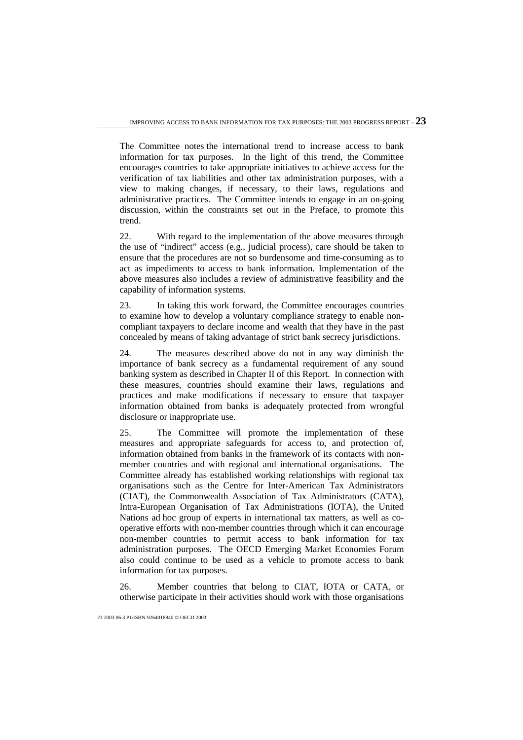The Committee notes the international trend to increase access to bank information for tax purposes. In the light of this trend, the Committee encourages countries to take appropriate initiatives to achieve access for the verification of tax liabilities and other tax administration purposes, with a view to making changes, if necessary, to their laws, regulations and administrative practices. The Committee intends to engage in an on-going discussion, within the constraints set out in the Preface, to promote this trend.

22. With regard to the implementation of the above measures through the use of "indirect" access (e.g., judicial process), care should be taken to ensure that the procedures are not so burdensome and time-consuming as to act as impediments to access to bank information. Implementation of the above measures also includes a review of administrative feasibility and the capability of information systems.

23. In taking this work forward, the Committee encourages countries to examine how to develop a voluntary compliance strategy to enable noncompliant taxpayers to declare income and wealth that they have in the past concealed by means of taking advantage of strict bank secrecy jurisdictions.

24. The measures described above do not in any way diminish the importance of bank secrecy as a fundamental requirement of any sound banking system as described in Chapter II of this Report. In connection with these measures, countries should examine their laws, regulations and practices and make modifications if necessary to ensure that taxpayer information obtained from banks is adequately protected from wrongful disclosure or inappropriate use.

25. The Committee will promote the implementation of these measures and appropriate safeguards for access to, and protection of, information obtained from banks in the framework of its contacts with nonmember countries and with regional and international organisations. The Committee already has established working relationships with regional tax organisations such as the Centre for Inter-American Tax Administrators (CIAT), the Commonwealth Association of Tax Administrators (CATA), Intra-European Organisation of Tax Administrations (IOTA), the United Nations ad hoc group of experts in international tax matters, as well as cooperative efforts with non-member countries through which it can encourage non-member countries to permit access to bank information for tax administration purposes. The OECD Emerging Market Economies Forum also could continue to be used as a vehicle to promote access to bank information for tax purposes.

26. Member countries that belong to CIAT, IOTA or CATA, or otherwise participate in their activities should work with those organisations

<sup>23 2003 06 3</sup> P1/ISBN-9264018840 © OECD 2003